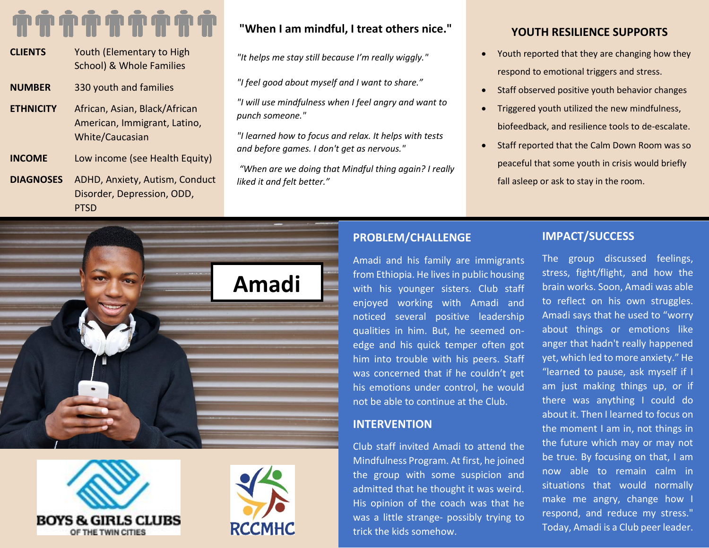- **CLIENTS** Youth (Elementary to High School) & Whole Families **NUMBER** 330 youth and families **ETHNICITY** African, Asian, Black/African American, Immigrant, Latino, White/Caucasian **INCOME** Low income (see Health Equity)
- **DIAGNOSES** ADHD, Anxiety, Autism, Conduct Disorder, Depression, ODD, PTSD

# **"When I am mindful, I treat others nice."**

*"It helps me stay still because I'm really wiggly."*

*"I feel good about myself and I want to share."*

*"I will use mindfulness when I feel angry and want to punch someone."*

*"I learned how to focus and relax. It helps with tests and before games. I don't get as nervous."*

*"When are we doing that Mindful thing again? I really liked it and felt better."*

## **YOUTH RESILIENCE SUPPORTS**

- Youth reported that they are changing how they respond to emotional triggers and stress.
- Staff observed positive youth behavior changes
- Triggered youth utilized the new mindfulness, biofeedback, and resilience tools to de-escalate.
- Staff reported that the Calm Down Room was so peaceful that some youth in crisis would briefly fall asleep or ask to stay in the room.



Amadi and his family are immigrants from Ethiopia. He lives in public housing with his younger sisters. Club staff enjoyed working with Amadi and noticed several positive leadership qualities in him. But, he seemed onedge and his quick temper often got him into trouble with his peers. Staff was concerned that if he couldn't get his emotions under control, he would not be able to continue at the Club.

## **INTERVENTION**

Club staff invited Amadi to attend the Mindfulness Program. At first, he joined the group with some suspicion and admitted that he thought it was weird. His opinion of the coach was that he was a little strange- possibly trying to trick the kids somehow.

## **IMPACT/SUCCESS**

The group discussed feelings, stress, fight/flight, and how the brain works. Soon, Amadi was able to reflect on his own struggles. Amadi says that he used to "worry about things or emotions like anger that hadn't really happened yet, which led to more anxiety." He "learned to pause, ask myself if I am just making things up, or if there was anything I could do about it. Then I learned to focus on the moment I am in, not things in the future which may or may not be true. By focusing on that, I am now able to remain calm in situations that would normally make me angry, change how I respond, and reduce my stress." Today, Amadi is a Club peer leader.